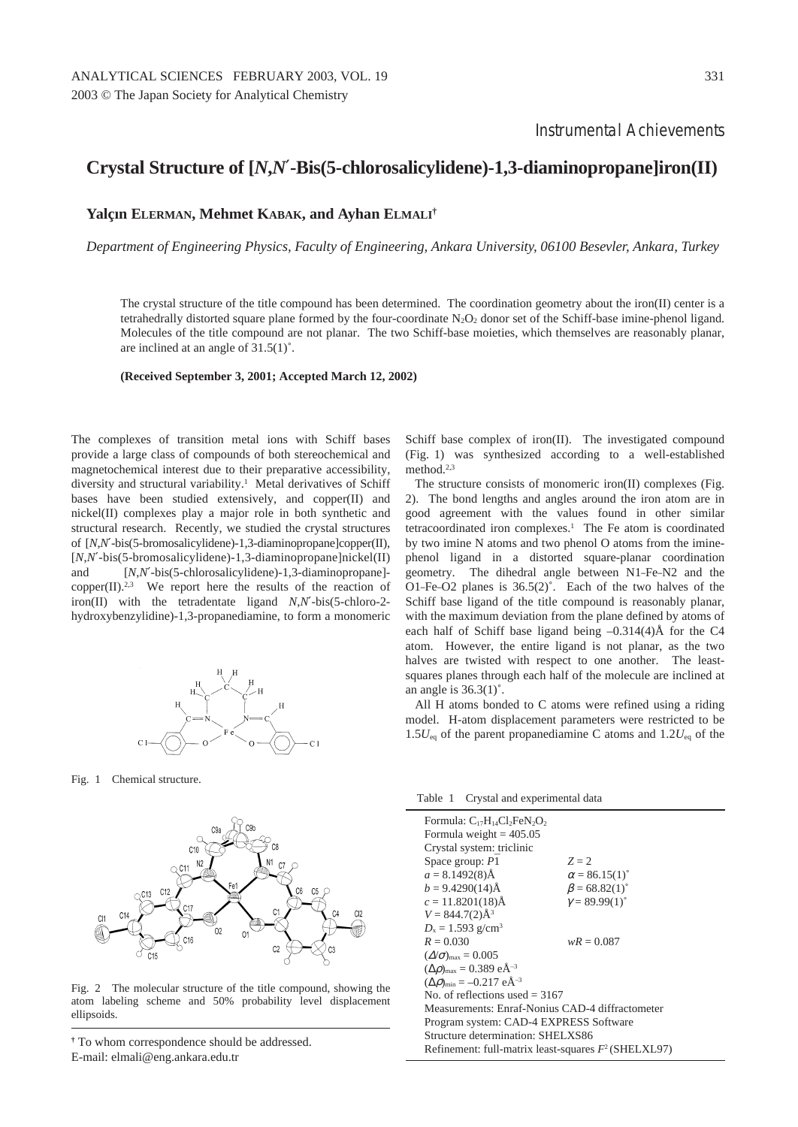## **Crystal Structure of [***N***,***N*′**-Bis(5-chlorosalicylidene)-1,3-diaminopropane]iron(II)**

## **Yalçın ELERMAN, Mehmet KABAK, and Ayhan ELMALI†**

*Department of Engineering Physics, Faculty of Engineering, Ankara University, 06100 Besevler, Ankara, Turkey*

The crystal structure of the title compound has been determined. The coordination geometry about the iron(II) center is a tetrahedrally distorted square plane formed by the four-coordinate  $N_2O_2$  donor set of the Schiff-base imine-phenol ligand. Molecules of the title compound are not planar. The two Schiff-base moieties, which themselves are reasonably planar, are inclined at an angle of 31.5(1)˚.

**(Received September 3, 2001; Accepted March 12, 2002)**

The complexes of transition metal ions with Schiff bases provide a large class of compounds of both stereochemical and magnetochemical interest due to their preparative accessibility, diversity and structural variability.<sup>1</sup> Metal derivatives of Schiff bases have been studied extensively, and copper(II) and nickel(II) complexes play a major role in both synthetic and structural research. Recently, we studied the crystal structures of [*N*,*N*′-bis(5-bromosalicylidene)-1,3-diaminopropane]copper(II), [*N*,*N*′-bis(5-bromosalicylidene)-1,3-diaminopropane]nickel(II) and [*N*,*N*′-bis(5-chlorosalicylidene)-1,3-diaminopropane]  $copper(II).^{2,3}$  We report here the results of the reaction of iron(II) with the tetradentate ligand *N*,*N*′-bis(5-chloro-2 hydroxybenzylidine)-1,3-propanediamine, to form a monomeric



Fig. 1 Chemical structure.



Fig. 2 The molecular structure of the title compound, showing the atom labeling scheme and 50% probability level displacement ellipsoids.

Schiff base complex of iron(II). The investigated compound (Fig. 1) was synthesized according to a well-established method.2,3

The structure consists of monomeric iron(II) complexes (Fig. 2). The bond lengths and angles around the iron atom are in good agreement with the values found in other similar tetracoordinated iron complexes.<sup>1</sup> The Fe atom is coordinated by two imine N atoms and two phenol O atoms from the iminephenol ligand in a distorted square-planar coordination geometry. The dihedral angle between N1–Fe–N2 and the O1–Fe–O2 planes is  $36.5(2)$ °. Each of the two halves of the Schiff base ligand of the title compound is reasonably planar, with the maximum deviation from the plane defined by atoms of each half of Schiff base ligand being  $-0.314(4)$ Å for the C4 atom. However, the entire ligand is not planar, as the two halves are twisted with respect to one another. The leastsquares planes through each half of the molecule are inclined at an angle is  $36.3(1)^\circ$ .

All H atoms bonded to C atoms were refined using a riding model. H-atom displacement parameters were restricted to be 1.5*U*eq of the parent propanediamine C atoms and 1.2*U*eq of the

Table 1 Crystal and experimental data

| Formula: $C_{17}H_{14}Cl_2FeN_2O_2$<br>Formula weight = $405.05$ |                             |  |  |  |
|------------------------------------------------------------------|-----------------------------|--|--|--|
| Crystal system: triclinic                                        |                             |  |  |  |
| Space group: $P\overline{1}$                                     | $Z = 2$                     |  |  |  |
| $a = 8.1492(8)$ Å                                                | $\alpha = 86.15(1)^{\circ}$ |  |  |  |
| $b = 9.4290(14)$ Å                                               | $\beta = 68.82(1)^{\circ}$  |  |  |  |
| $c = 11.8201(18)$ Å                                              | $\gamma = 89.99(1)^{\circ}$ |  |  |  |
| $V = 844.7(2)$ $\AA$ <sup>3</sup>                                |                             |  |  |  |
| $D_x = 1.593$ g/cm <sup>3</sup>                                  |                             |  |  |  |
| $R = 0.030$                                                      | $wR = 0.087$                |  |  |  |
| $(\Delta/\sigma)_{\text{max}} = 0.005$                           |                             |  |  |  |
| $(\Delta \rho)_{\text{max}} = 0.389 \text{ e} \text{\AA}^{-3}$   |                             |  |  |  |
| $(\Delta \rho)_{\text{min}} = -0.217 \text{ e} \text{\AA}^{-3}$  |                             |  |  |  |
| No. of reflections used $=$ 3167                                 |                             |  |  |  |
| Measurements: Enraf-Nonius CAD-4 diffractometer                  |                             |  |  |  |
| Program system: CAD-4 EXPRESS Software                           |                             |  |  |  |
| Structure determination: SHELXS86                                |                             |  |  |  |
| Refinement: full-matrix least-squares $F^2$ (SHELXL97)           |                             |  |  |  |
|                                                                  |                             |  |  |  |

**<sup>†</sup>** To whom correspondence should be addressed. E-mail: elmali@eng.ankara.edu.tr